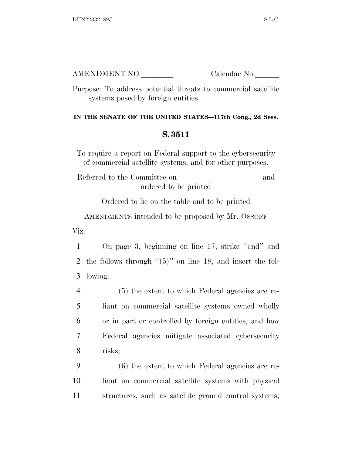| AMENDMENT NO. | Calendar No. |
|---------------|--------------|
|               |              |

Purpose: To address potential threats to commercial satellite systems posed by foreign entities.

## **IN THE SENATE OF THE UNITED STATES—117th Cong., 2d Sess.**

## **S. 3511**

To require a report on Federal support to the cybersecurity of commercial satellite systems, and for other purposes.

Referred to the Committee on  $\hfill\blacksquare$ ordered to be printed

Ordered to lie on the table and to be printed

AMENDMENTS intended to be proposed by Mr. OSSOFF

Viz:

1 On page 3, beginning on line 17, strike ''and'' and 2 the follows through ''(5)'' on line 18, and insert the fol-3 lowing:

 (5) the extent to which Federal agencies are re- liant on commercial satellite systems owned wholly or in part or controlled by foreign entities, and how Federal agencies mitigate associated cybersecurity 8 risks;

9 (6) the extent to which Federal agencies are re-10 liant on commercial satellite systems with physical 11 structures, such as satellite ground control systems,